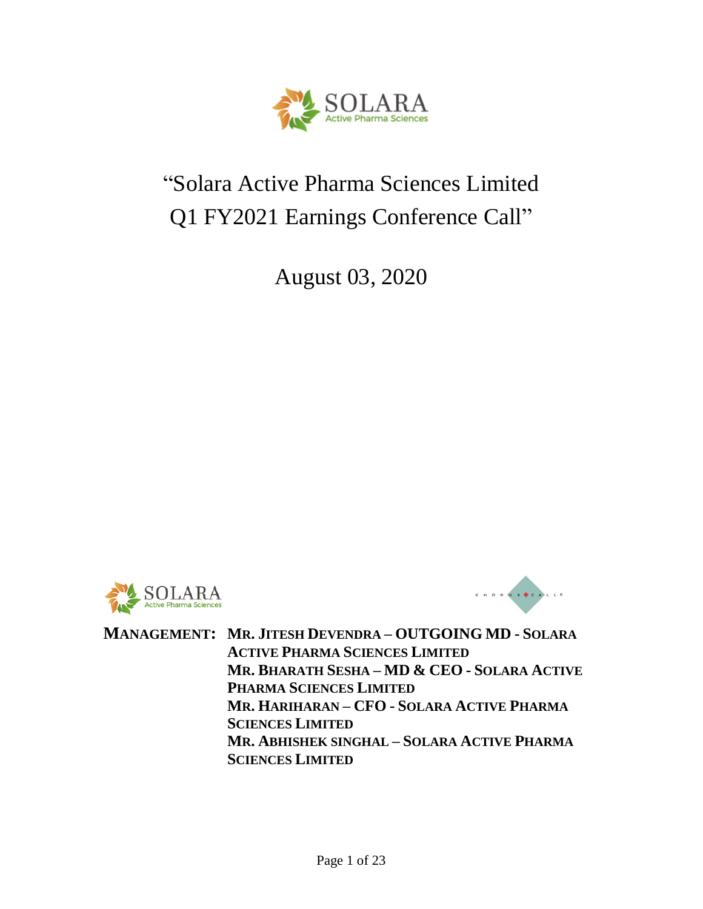

# "Solara Active Pharma Sciences Limited Q1 FY2021 Earnings Conference Call"

August 03, 2020





**MANAGEMENT: MR. JITESH DEVENDRA – OUTGOING MD - SOLARA ACTIVE PHARMA SCIENCES LIMITED MR. BHARATH SESHA – MD & CEO - SOLARA ACTIVE PHARMA SCIENCES LIMITED MR. HARIHARAN – CFO - SOLARA ACTIVE PHARMA SCIENCES LIMITED MR. ABHISHEK SINGHAL – SOLARA ACTIVE PHARMA SCIENCES LIMITED**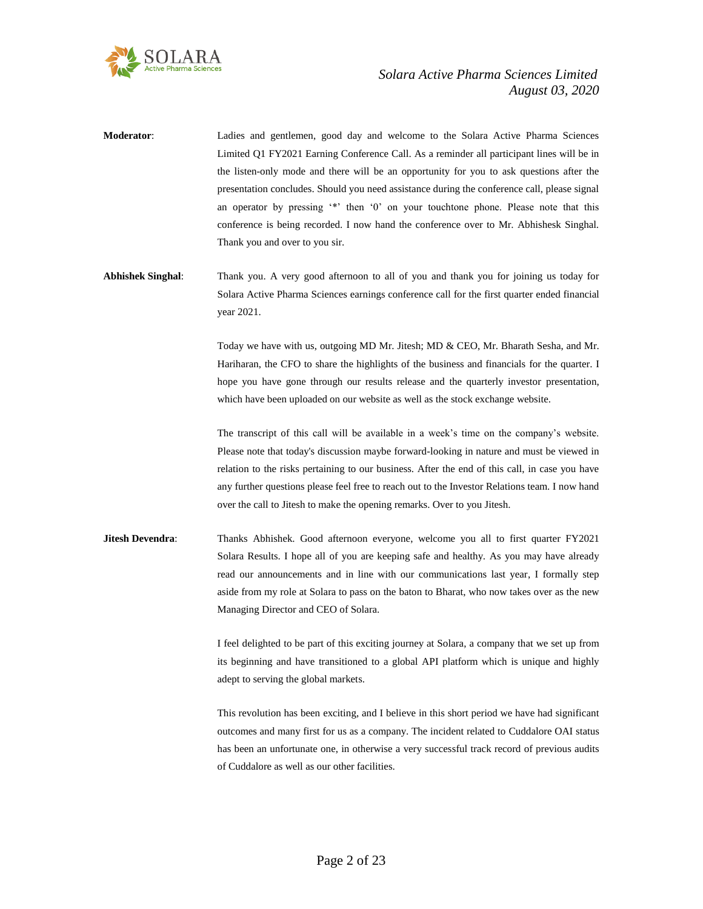

**Moderator**: Ladies and gentlemen, good day and welcome to the Solara Active Pharma Sciences Limited Q1 FY2021 Earning Conference Call. As a reminder all participant lines will be in the listen-only mode and there will be an opportunity for you to ask questions after the presentation concludes. Should you need assistance during the conference call, please signal an operator by pressing '\*' then '0' on your touchtone phone. Please note that this conference is being recorded. I now hand the conference over to Mr. Abhishesk Singhal. Thank you and over to you sir.

**Abhishek Singhal**: Thank you. A very good afternoon to all of you and thank you for joining us today for Solara Active Pharma Sciences earnings conference call for the first quarter ended financial year 2021.

> Today we have with us, outgoing MD Mr. Jitesh; MD & CEO, Mr. Bharath Sesha, and Mr. Hariharan, the CFO to share the highlights of the business and financials for the quarter. I hope you have gone through our results release and the quarterly investor presentation, which have been uploaded on our website as well as the stock exchange website.

> The transcript of this call will be available in a week's time on the company's website. Please note that today's discussion maybe forward-looking in nature and must be viewed in relation to the risks pertaining to our business. After the end of this call, in case you have any further questions please feel free to reach out to the Investor Relations team. I now hand over the call to Jitesh to make the opening remarks. Over to you Jitesh.

**Jitesh Devendra:** Thanks Abhishek. Good afternoon everyone, welcome you all to first quarter FY2021 Solara Results. I hope all of you are keeping safe and healthy. As you may have already read our announcements and in line with our communications last year, I formally step aside from my role at Solara to pass on the baton to Bharat, who now takes over as the new Managing Director and CEO of Solara.

> I feel delighted to be part of this exciting journey at Solara, a company that we set up from its beginning and have transitioned to a global API platform which is unique and highly adept to serving the global markets.

> This revolution has been exciting, and I believe in this short period we have had significant outcomes and many first for us as a company. The incident related to Cuddalore OAI status has been an unfortunate one, in otherwise a very successful track record of previous audits of Cuddalore as well as our other facilities.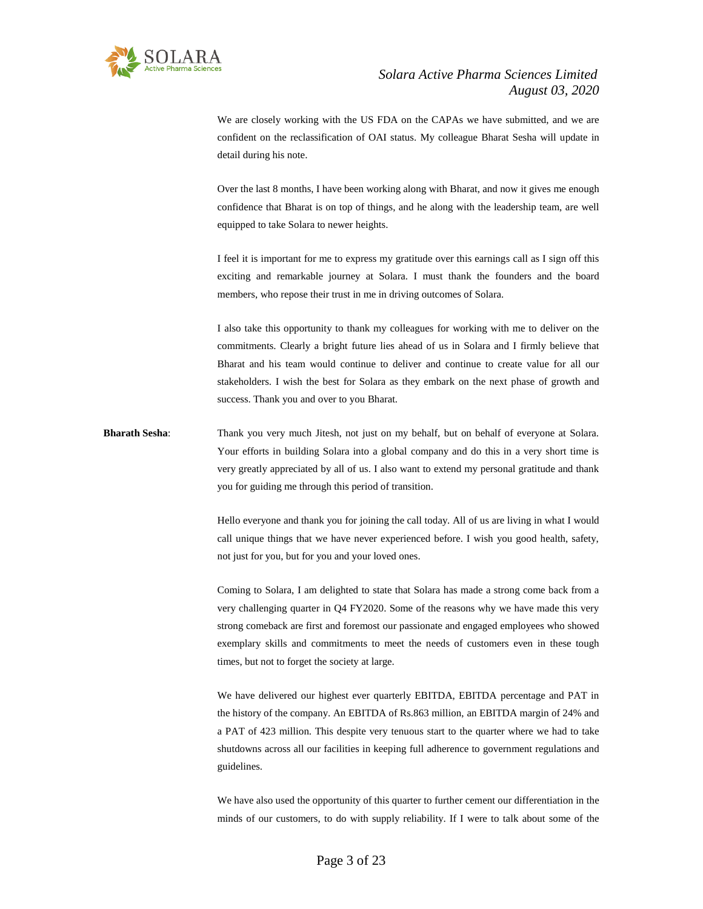

We are closely working with the US FDA on the CAPAs we have submitted, and we are confident on the reclassification of OAI status. My colleague Bharat Sesha will update in detail during his note.

Over the last 8 months, I have been working along with Bharat, and now it gives me enough confidence that Bharat is on top of things, and he along with the leadership team, are well equipped to take Solara to newer heights.

I feel it is important for me to express my gratitude over this earnings call as I sign off this exciting and remarkable journey at Solara. I must thank the founders and the board members, who repose their trust in me in driving outcomes of Solara.

I also take this opportunity to thank my colleagues for working with me to deliver on the commitments. Clearly a bright future lies ahead of us in Solara and I firmly believe that Bharat and his team would continue to deliver and continue to create value for all our stakeholders. I wish the best for Solara as they embark on the next phase of growth and success. Thank you and over to you Bharat.

**Bharath Sesha**: Thank you very much Jitesh, not just on my behalf, but on behalf of everyone at Solara. Your efforts in building Solara into a global company and do this in a very short time is very greatly appreciated by all of us. I also want to extend my personal gratitude and thank you for guiding me through this period of transition.

> Hello everyone and thank you for joining the call today. All of us are living in what I would call unique things that we have never experienced before. I wish you good health, safety, not just for you, but for you and your loved ones.

> Coming to Solara, I am delighted to state that Solara has made a strong come back from a very challenging quarter in Q4 FY2020. Some of the reasons why we have made this very strong comeback are first and foremost our passionate and engaged employees who showed exemplary skills and commitments to meet the needs of customers even in these tough times, but not to forget the society at large.

> We have delivered our highest ever quarterly EBITDA, EBITDA percentage and PAT in the history of the company. An EBITDA of Rs.863 million, an EBITDA margin of 24% and a PAT of 423 million. This despite very tenuous start to the quarter where we had to take shutdowns across all our facilities in keeping full adherence to government regulations and guidelines.

> We have also used the opportunity of this quarter to further cement our differentiation in the minds of our customers, to do with supply reliability. If I were to talk about some of the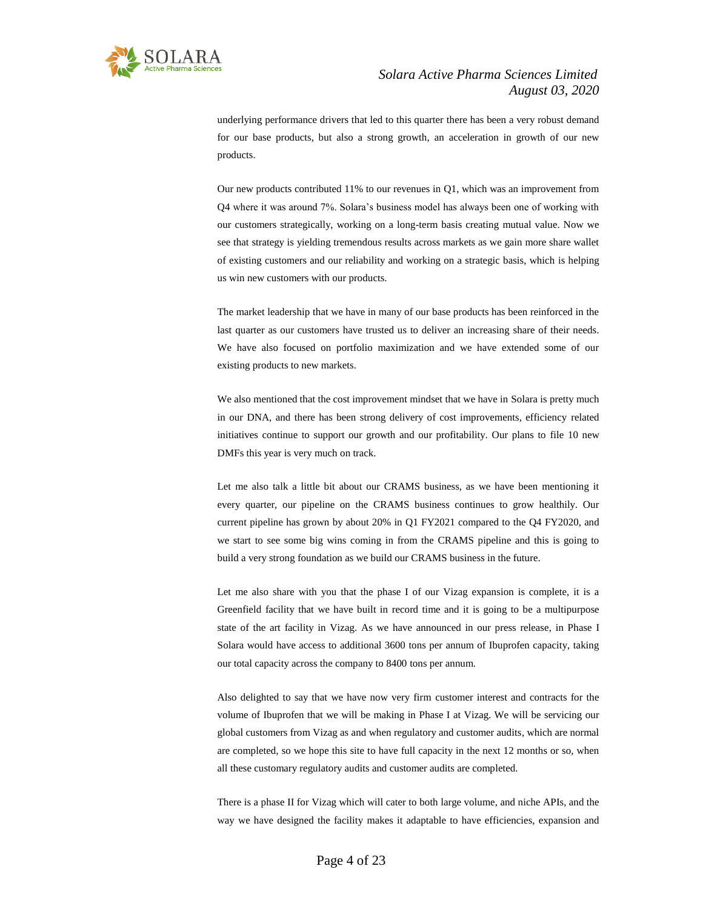

underlying performance drivers that led to this quarter there has been a very robust demand for our base products, but also a strong growth, an acceleration in growth of our new products.

Our new products contributed 11% to our revenues in Q1, which was an improvement from Q4 where it was around 7%. Solara's business model has always been one of working with our customers strategically, working on a long-term basis creating mutual value. Now we see that strategy is yielding tremendous results across markets as we gain more share wallet of existing customers and our reliability and working on a strategic basis, which is helping us win new customers with our products.

The market leadership that we have in many of our base products has been reinforced in the last quarter as our customers have trusted us to deliver an increasing share of their needs. We have also focused on portfolio maximization and we have extended some of our existing products to new markets.

We also mentioned that the cost improvement mindset that we have in Solara is pretty much in our DNA, and there has been strong delivery of cost improvements, efficiency related initiatives continue to support our growth and our profitability. Our plans to file 10 new DMFs this year is very much on track.

Let me also talk a little bit about our CRAMS business, as we have been mentioning it every quarter, our pipeline on the CRAMS business continues to grow healthily. Our current pipeline has grown by about 20% in Q1 FY2021 compared to the Q4 FY2020, and we start to see some big wins coming in from the CRAMS pipeline and this is going to build a very strong foundation as we build our CRAMS business in the future.

Let me also share with you that the phase I of our Vizag expansion is complete, it is a Greenfield facility that we have built in record time and it is going to be a multipurpose state of the art facility in Vizag. As we have announced in our press release, in Phase I Solara would have access to additional 3600 tons per annum of Ibuprofen capacity, taking our total capacity across the company to 8400 tons per annum.

Also delighted to say that we have now very firm customer interest and contracts for the volume of Ibuprofen that we will be making in Phase I at Vizag. We will be servicing our global customers from Vizag as and when regulatory and customer audits, which are normal are completed, so we hope this site to have full capacity in the next 12 months or so, when all these customary regulatory audits and customer audits are completed.

There is a phase II for Vizag which will cater to both large volume, and niche APIs, and the way we have designed the facility makes it adaptable to have efficiencies, expansion and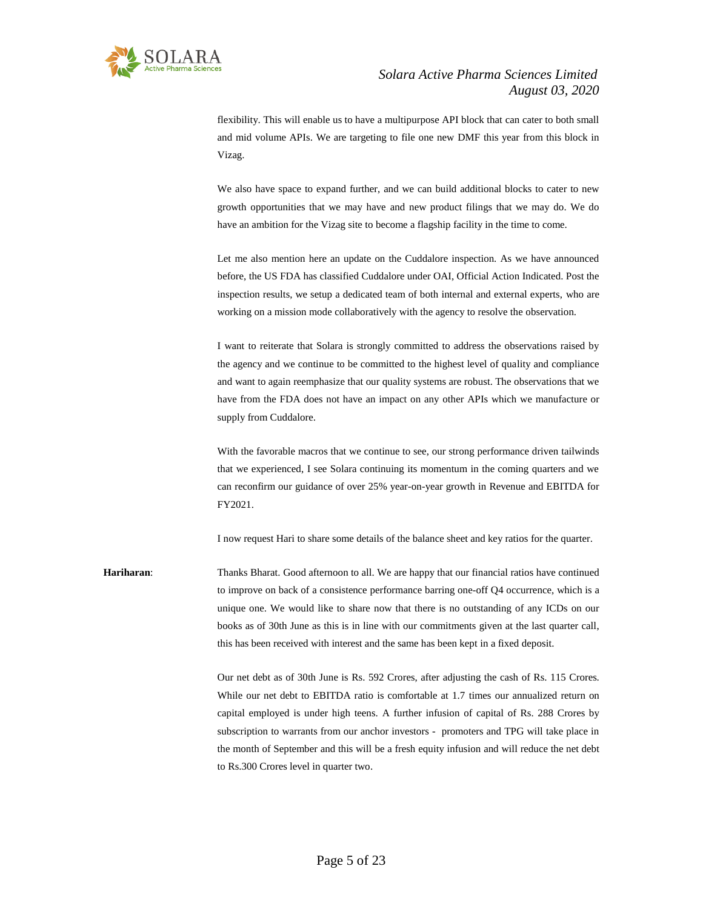

flexibility. This will enable us to have a multipurpose API block that can cater to both small and mid volume APIs. We are targeting to file one new DMF this year from this block in Vizag.

We also have space to expand further, and we can build additional blocks to cater to new growth opportunities that we may have and new product filings that we may do. We do have an ambition for the Vizag site to become a flagship facility in the time to come.

Let me also mention here an update on the Cuddalore inspection. As we have announced before, the US FDA has classified Cuddalore under OAI, Official Action Indicated. Post the inspection results, we setup a dedicated team of both internal and external experts, who are working on a mission mode collaboratively with the agency to resolve the observation.

I want to reiterate that Solara is strongly committed to address the observations raised by the agency and we continue to be committed to the highest level of quality and compliance and want to again reemphasize that our quality systems are robust. The observations that we have from the FDA does not have an impact on any other APIs which we manufacture or supply from Cuddalore.

With the favorable macros that we continue to see, our strong performance driven tailwinds that we experienced, I see Solara continuing its momentum in the coming quarters and we can reconfirm our guidance of over 25% year-on-year growth in Revenue and EBITDA for FY2021.

I now request Hari to share some details of the balance sheet and key ratios for the quarter.

**Hariharan**: Thanks Bharat. Good afternoon to all. We are happy that our financial ratios have continued to improve on back of a consistence performance barring one-off Q4 occurrence, which is a unique one. We would like to share now that there is no outstanding of any ICDs on our books as of 30th June as this is in line with our commitments given at the last quarter call, this has been received with interest and the same has been kept in a fixed deposit.

> Our net debt as of 30th June is Rs. 592 Crores, after adjusting the cash of Rs. 115 Crores. While our net debt to EBITDA ratio is comfortable at 1.7 times our annualized return on capital employed is under high teens. A further infusion of capital of Rs. 288 Crores by subscription to warrants from our anchor investors - promoters and TPG will take place in the month of September and this will be a fresh equity infusion and will reduce the net debt to Rs.300 Crores level in quarter two.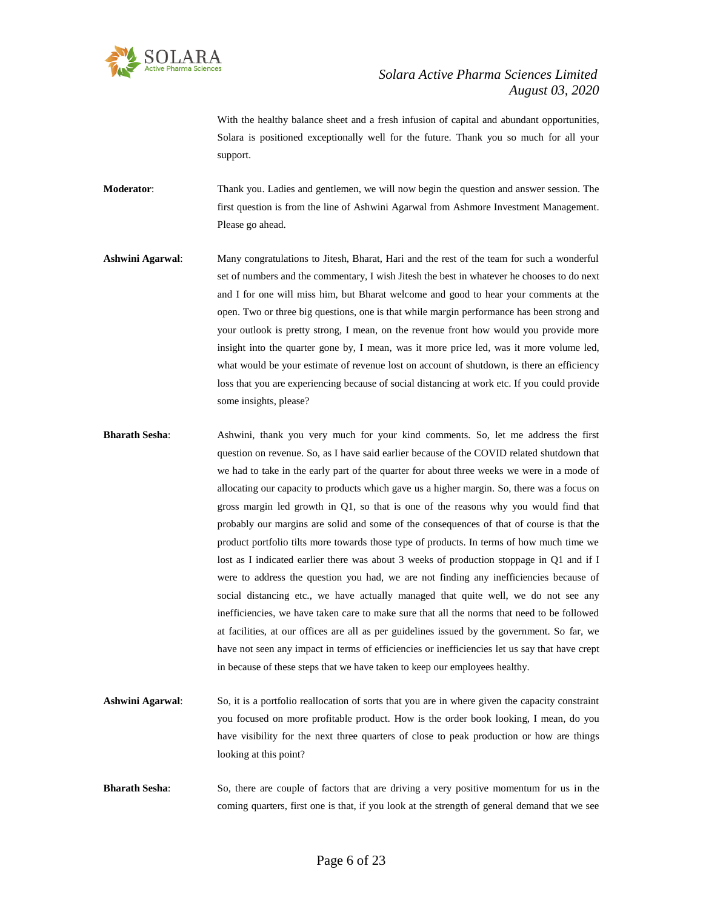

With the healthy balance sheet and a fresh infusion of capital and abundant opportunities, Solara is positioned exceptionally well for the future. Thank you so much for all your support.

**Moderator**: Thank you. Ladies and gentlemen, we will now begin the question and answer session. The first question is from the line of Ashwini Agarwal from Ashmore Investment Management. Please go ahead.

- **Ashwini Agarwal**: Many congratulations to Jitesh, Bharat, Hari and the rest of the team for such a wonderful set of numbers and the commentary, I wish Jitesh the best in whatever he chooses to do next and I for one will miss him, but Bharat welcome and good to hear your comments at the open. Two or three big questions, one is that while margin performance has been strong and your outlook is pretty strong, I mean, on the revenue front how would you provide more insight into the quarter gone by, I mean, was it more price led, was it more volume led, what would be your estimate of revenue lost on account of shutdown, is there an efficiency loss that you are experiencing because of social distancing at work etc. If you could provide some insights, please?
- **Bharath Sesha**: Ashwini, thank you very much for your kind comments. So, let me address the first question on revenue. So, as I have said earlier because of the COVID related shutdown that we had to take in the early part of the quarter for about three weeks we were in a mode of allocating our capacity to products which gave us a higher margin. So, there was a focus on gross margin led growth in Q1, so that is one of the reasons why you would find that probably our margins are solid and some of the consequences of that of course is that the product portfolio tilts more towards those type of products. In terms of how much time we lost as I indicated earlier there was about 3 weeks of production stoppage in Q1 and if I were to address the question you had, we are not finding any inefficiencies because of social distancing etc., we have actually managed that quite well, we do not see any inefficiencies, we have taken care to make sure that all the norms that need to be followed at facilities, at our offices are all as per guidelines issued by the government. So far, we have not seen any impact in terms of efficiencies or inefficiencies let us say that have crept in because of these steps that we have taken to keep our employees healthy.
- **Ashwini Agarwal**: So, it is a portfolio reallocation of sorts that you are in where given the capacity constraint you focused on more profitable product. How is the order book looking, I mean, do you have visibility for the next three quarters of close to peak production or how are things looking at this point?
- **Bharath Sesha:** So, there are couple of factors that are driving a very positive momentum for us in the coming quarters, first one is that, if you look at the strength of general demand that we see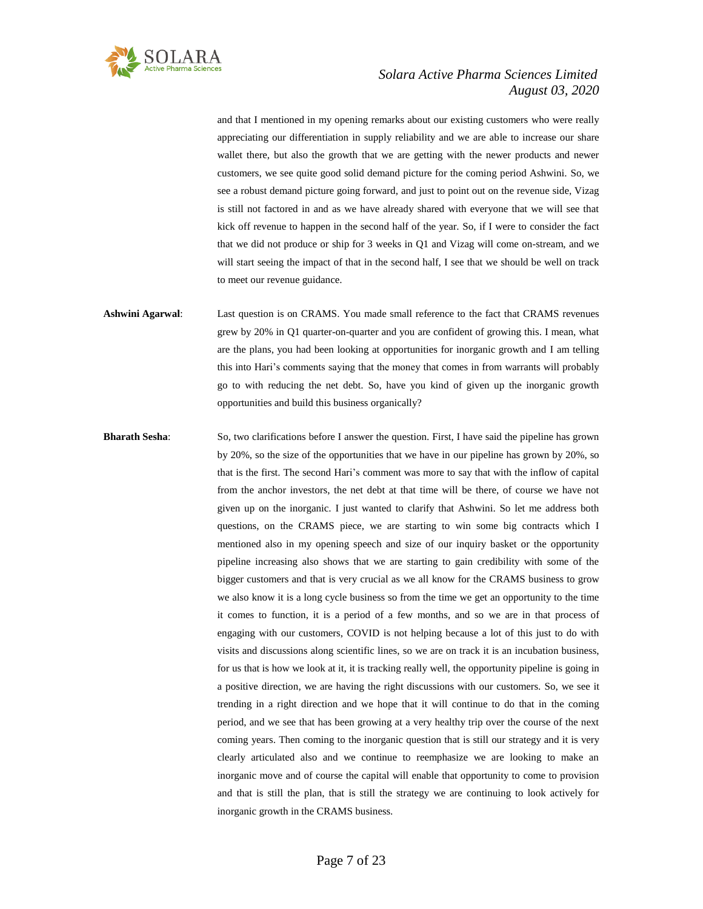

and that I mentioned in my opening remarks about our existing customers who were really appreciating our differentiation in supply reliability and we are able to increase our share wallet there, but also the growth that we are getting with the newer products and newer customers, we see quite good solid demand picture for the coming period Ashwini. So, we see a robust demand picture going forward, and just to point out on the revenue side, Vizag is still not factored in and as we have already shared with everyone that we will see that kick off revenue to happen in the second half of the year. So, if I were to consider the fact that we did not produce or ship for 3 weeks in Q1 and Vizag will come on-stream, and we will start seeing the impact of that in the second half, I see that we should be well on track to meet our revenue guidance.

**Ashwini Agarwal**: Last question is on CRAMS. You made small reference to the fact that CRAMS revenues grew by 20% in Q1 quarter-on-quarter and you are confident of growing this. I mean, what are the plans, you had been looking at opportunities for inorganic growth and I am telling this into Hari's comments saying that the money that comes in from warrants will probably go to with reducing the net debt. So, have you kind of given up the inorganic growth opportunities and build this business organically?

**Bharath Sesha:** So, two clarifications before I answer the question. First, I have said the pipeline has grown by 20%, so the size of the opportunities that we have in our pipeline has grown by 20%, so that is the first. The second Hari's comment was more to say that with the inflow of capital from the anchor investors, the net debt at that time will be there, of course we have not given up on the inorganic. I just wanted to clarify that Ashwini. So let me address both questions, on the CRAMS piece, we are starting to win some big contracts which I mentioned also in my opening speech and size of our inquiry basket or the opportunity pipeline increasing also shows that we are starting to gain credibility with some of the bigger customers and that is very crucial as we all know for the CRAMS business to grow we also know it is a long cycle business so from the time we get an opportunity to the time it comes to function, it is a period of a few months, and so we are in that process of engaging with our customers, COVID is not helping because a lot of this just to do with visits and discussions along scientific lines, so we are on track it is an incubation business, for us that is how we look at it, it is tracking really well, the opportunity pipeline is going in a positive direction, we are having the right discussions with our customers. So, we see it trending in a right direction and we hope that it will continue to do that in the coming period, and we see that has been growing at a very healthy trip over the course of the next coming years. Then coming to the inorganic question that is still our strategy and it is very clearly articulated also and we continue to reemphasize we are looking to make an inorganic move and of course the capital will enable that opportunity to come to provision and that is still the plan, that is still the strategy we are continuing to look actively for inorganic growth in the CRAMS business.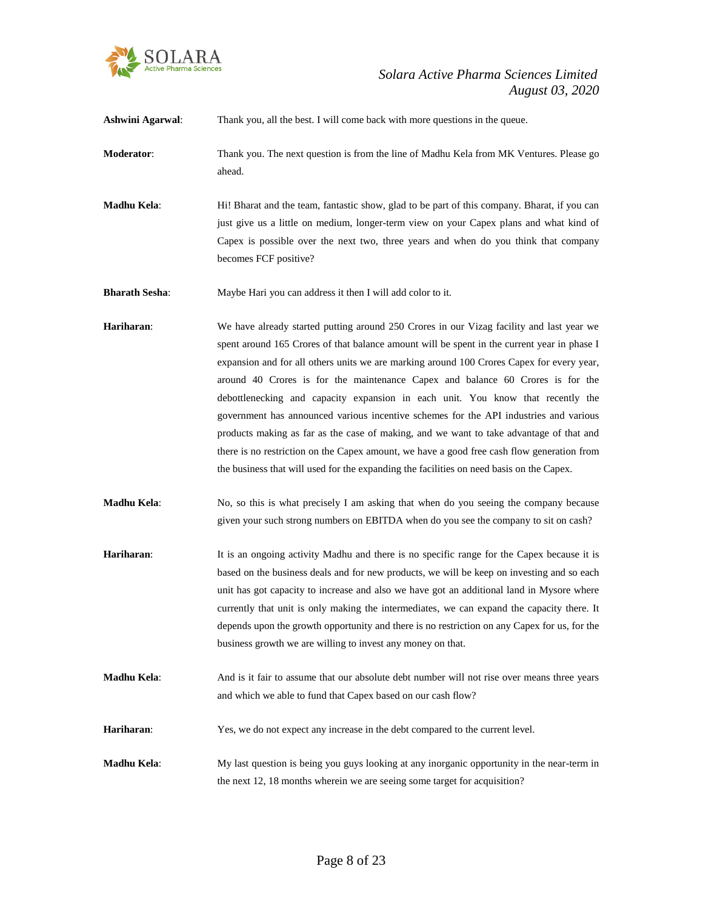

| <b>Ashwini Agarwal:</b> | Thank you, all the best. I will come back with more questions in the queue.                                                                                                                                                                                                                                                                                                                                                                                                                                                                                                                                                                                                                                                                                                                                                             |
|-------------------------|-----------------------------------------------------------------------------------------------------------------------------------------------------------------------------------------------------------------------------------------------------------------------------------------------------------------------------------------------------------------------------------------------------------------------------------------------------------------------------------------------------------------------------------------------------------------------------------------------------------------------------------------------------------------------------------------------------------------------------------------------------------------------------------------------------------------------------------------|
| Moderator:              | Thank you. The next question is from the line of Madhu Kela from MK Ventures. Please go<br>ahead.                                                                                                                                                                                                                                                                                                                                                                                                                                                                                                                                                                                                                                                                                                                                       |
| Madhu Kela:             | Hi! Bharat and the team, fantastic show, glad to be part of this company. Bharat, if you can<br>just give us a little on medium, longer-term view on your Capex plans and what kind of<br>Capex is possible over the next two, three years and when do you think that company<br>becomes FCF positive?                                                                                                                                                                                                                                                                                                                                                                                                                                                                                                                                  |
| <b>Bharath Sesha:</b>   | Maybe Hari you can address it then I will add color to it.                                                                                                                                                                                                                                                                                                                                                                                                                                                                                                                                                                                                                                                                                                                                                                              |
| Hariharan:              | We have already started putting around 250 Crores in our Vizag facility and last year we<br>spent around 165 Crores of that balance amount will be spent in the current year in phase I<br>expansion and for all others units we are marking around 100 Crores Capex for every year,<br>around 40 Crores is for the maintenance Capex and balance 60 Crores is for the<br>debottlenecking and capacity expansion in each unit. You know that recently the<br>government has announced various incentive schemes for the API industries and various<br>products making as far as the case of making, and we want to take advantage of that and<br>there is no restriction on the Capex amount, we have a good free cash flow generation from<br>the business that will used for the expanding the facilities on need basis on the Capex. |
| Madhu Kela:             | No, so this is what precisely I am asking that when do you seeing the company because<br>given your such strong numbers on EBITDA when do you see the company to sit on cash?                                                                                                                                                                                                                                                                                                                                                                                                                                                                                                                                                                                                                                                           |
| Hariharan:              | It is an ongoing activity Madhu and there is no specific range for the Capex because it is<br>based on the business deals and for new products, we will be keep on investing and so each<br>unit has got capacity to increase and also we have got an additional land in Mysore where<br>currently that unit is only making the intermediates, we can expand the capacity there. It<br>depends upon the growth opportunity and there is no restriction on any Capex for us, for the<br>business growth we are willing to invest any money on that.                                                                                                                                                                                                                                                                                      |
| Madhu Kela:             | And is it fair to assume that our absolute debt number will not rise over means three years<br>and which we able to fund that Capex based on our cash flow?                                                                                                                                                                                                                                                                                                                                                                                                                                                                                                                                                                                                                                                                             |
| Hariharan:              | Yes, we do not expect any increase in the debt compared to the current level.                                                                                                                                                                                                                                                                                                                                                                                                                                                                                                                                                                                                                                                                                                                                                           |
| Madhu Kela:             | My last question is being you guys looking at any inorganic opportunity in the near-term in<br>the next 12, 18 months wherein we are seeing some target for acquisition?                                                                                                                                                                                                                                                                                                                                                                                                                                                                                                                                                                                                                                                                |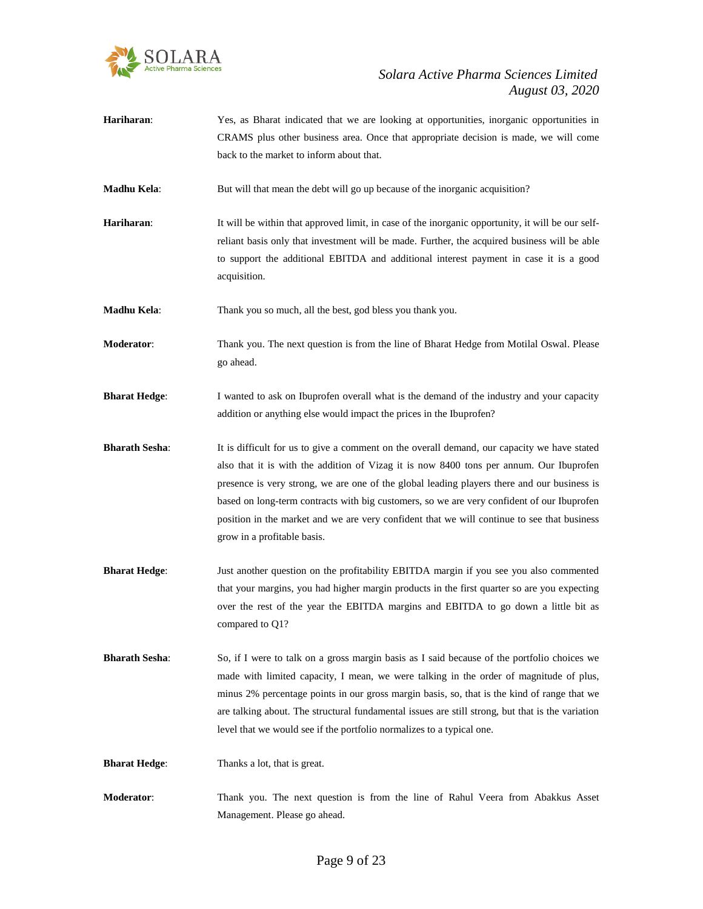

**Hariharan**: Yes, as Bharat indicated that we are looking at opportunities, inorganic opportunities in CRAMS plus other business area. Once that appropriate decision is made, we will come back to the market to inform about that.

**Madhu Kela:** But will that mean the debt will go up because of the inorganic acquisition?

**Hariharan:** It will be within that approved limit, in case of the inorganic opportunity, it will be our selfreliant basis only that investment will be made. Further, the acquired business will be able to support the additional EBITDA and additional interest payment in case it is a good acquisition.

**Madhu Kela**: Thank you so much, all the best, god bless you thank you.

**Moderator**: Thank you. The next question is from the line of Bharat Hedge from Motilal Oswal. Please go ahead.

- **Bharat Hedge:** I wanted to ask on Ibuprofen overall what is the demand of the industry and your capacity addition or anything else would impact the prices in the Ibuprofen?
- **Bharath Sesha**: It is difficult for us to give a comment on the overall demand, our capacity we have stated also that it is with the addition of Vizag it is now 8400 tons per annum. Our Ibuprofen presence is very strong, we are one of the global leading players there and our business is based on long-term contracts with big customers, so we are very confident of our Ibuprofen position in the market and we are very confident that we will continue to see that business grow in a profitable basis.
- **Bharat Hedge**: Just another question on the profitability EBITDA margin if you see you also commented that your margins, you had higher margin products in the first quarter so are you expecting over the rest of the year the EBITDA margins and EBITDA to go down a little bit as compared to Q1?
- **Bharath Sesha**: So, if I were to talk on a gross margin basis as I said because of the portfolio choices we made with limited capacity, I mean, we were talking in the order of magnitude of plus, minus 2% percentage points in our gross margin basis, so, that is the kind of range that we are talking about. The structural fundamental issues are still strong, but that is the variation level that we would see if the portfolio normalizes to a typical one.

**Bharat Hedge:** Thanks a lot, that is great.

**Moderator**: Thank you. The next question is from the line of Rahul Veera from Abakkus Asset Management. Please go ahead.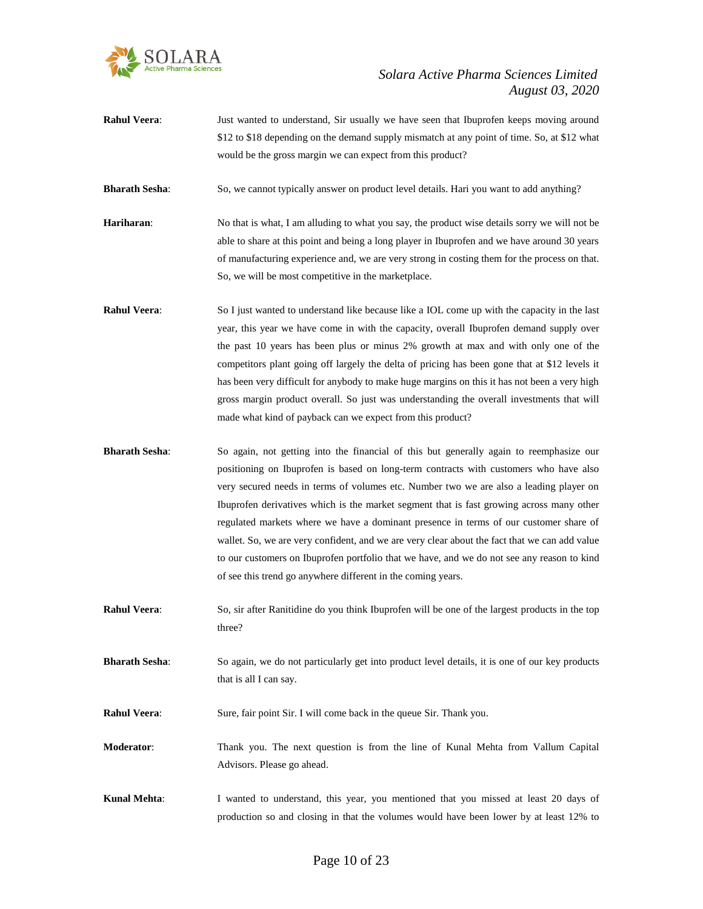

**Rahul Veera**: Just wanted to understand, Sir usually we have seen that Ibuprofen keeps moving around \$12 to \$18 depending on the demand supply mismatch at any point of time. So, at \$12 what would be the gross margin we can expect from this product?

**Bharath Sesha**: So, we cannot typically answer on product level details. Hari you want to add anything?

- **Hariharan**: No that is what, I am alluding to what you say, the product wise details sorry we will not be able to share at this point and being a long player in Ibuprofen and we have around 30 years of manufacturing experience and, we are very strong in costing them for the process on that. So, we will be most competitive in the marketplace.
- **Rahul Veera:** So I just wanted to understand like because like a IOL come up with the capacity in the last year, this year we have come in with the capacity, overall Ibuprofen demand supply over the past 10 years has been plus or minus 2% growth at max and with only one of the competitors plant going off largely the delta of pricing has been gone that at \$12 levels it has been very difficult for anybody to make huge margins on this it has not been a very high gross margin product overall. So just was understanding the overall investments that will made what kind of payback can we expect from this product?
- **Bharath Sesha:** So again, not getting into the financial of this but generally again to reemphasize our positioning on Ibuprofen is based on long-term contracts with customers who have also very secured needs in terms of volumes etc. Number two we are also a leading player on Ibuprofen derivatives which is the market segment that is fast growing across many other regulated markets where we have a dominant presence in terms of our customer share of wallet. So, we are very confident, and we are very clear about the fact that we can add value to our customers on Ibuprofen portfolio that we have, and we do not see any reason to kind of see this trend go anywhere different in the coming years.
- **Rahul Veera**: So, sir after Ranitidine do you think Ibuprofen will be one of the largest products in the top three?

**Bharath Sesha**: So again, we do not particularly get into product level details, it is one of our key products that is all I can say.

**Rahul Veera:** Sure, fair point Sir. I will come back in the queue Sir. Thank you.

**Moderator**: Thank you. The next question is from the line of Kunal Mehta from Vallum Capital Advisors. Please go ahead.

**Kunal Mehta**: I wanted to understand, this year, you mentioned that you missed at least 20 days of production so and closing in that the volumes would have been lower by at least 12% to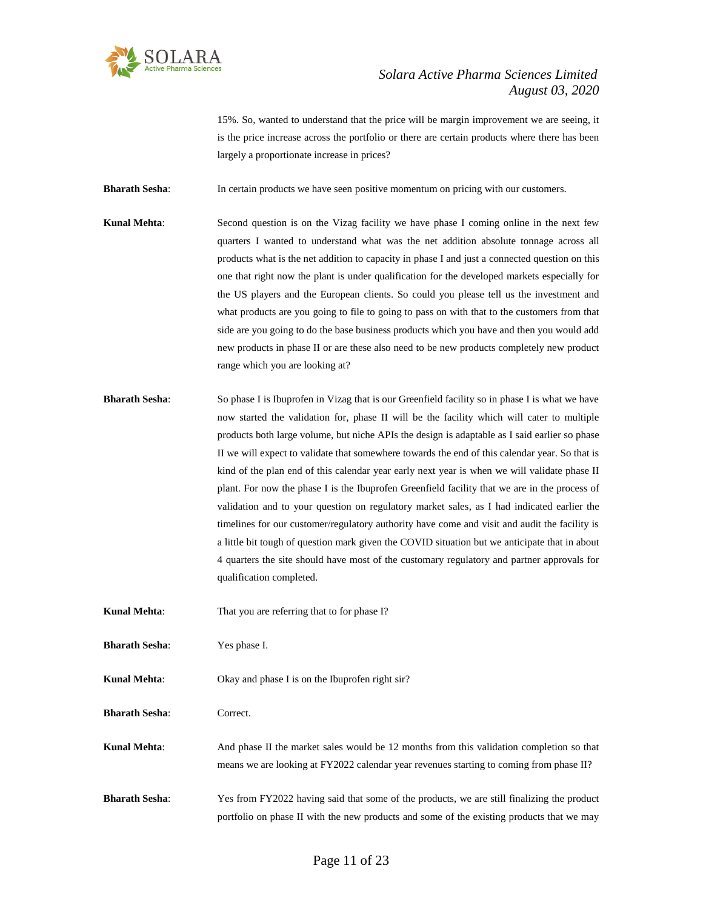

15%. So, wanted to understand that the price will be margin improvement we are seeing, it is the price increase across the portfolio or there are certain products where there has been largely a proportionate increase in prices?

**Bharath Sesha**: In certain products we have seen positive momentum on pricing with our customers.

- **Kunal Mehta**: Second question is on the Vizag facility we have phase I coming online in the next few quarters I wanted to understand what was the net addition absolute tonnage across all products what is the net addition to capacity in phase I and just a connected question on this one that right now the plant is under qualification for the developed markets especially for the US players and the European clients. So could you please tell us the investment and what products are you going to file to going to pass on with that to the customers from that side are you going to do the base business products which you have and then you would add new products in phase II or are these also need to be new products completely new product range which you are looking at?
- **Bharath Sesha:** So phase I is Ibuprofen in Vizag that is our Greenfield facility so in phase I is what we have now started the validation for, phase II will be the facility which will cater to multiple products both large volume, but niche APIs the design is adaptable as I said earlier so phase II we will expect to validate that somewhere towards the end of this calendar year. So that is kind of the plan end of this calendar year early next year is when we will validate phase II plant. For now the phase I is the Ibuprofen Greenfield facility that we are in the process of validation and to your question on regulatory market sales, as I had indicated earlier the timelines for our customer/regulatory authority have come and visit and audit the facility is a little bit tough of question mark given the COVID situation but we anticipate that in about 4 quarters the site should have most of the customary regulatory and partner approvals for qualification completed.
- **Kunal Mehta:** That you are referring that to for phase I?

**Bharath Sesha**: Yes phase I.

**Kunal Mehta:** Okay and phase I is on the Ibuprofen right sir?

**Bharath Sesha**: Correct.

**Kunal Mehta:** And phase II the market sales would be 12 months from this validation completion so that means we are looking at FY2022 calendar year revenues starting to coming from phase II?

**Bharath Sesha:** Yes from FY2022 having said that some of the products, we are still finalizing the product portfolio on phase II with the new products and some of the existing products that we may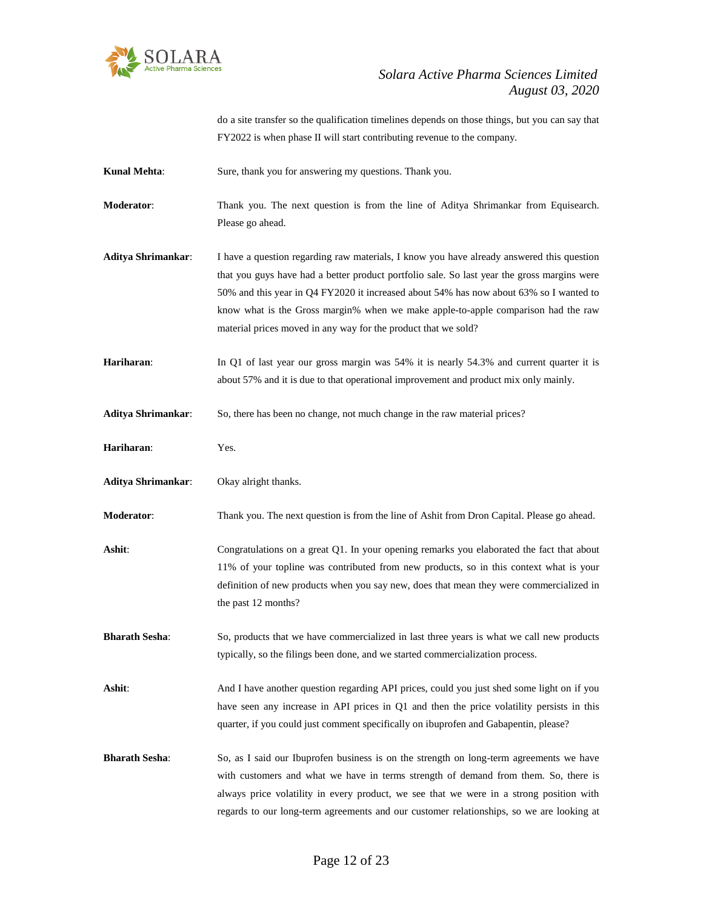

do a site transfer so the qualification timelines depends on those things, but you can say that FY2022 is when phase II will start contributing revenue to the company.

Kunal Mehta: Sure, thank you for answering my questions. Thank you.

**Moderator**: Thank you. The next question is from the line of Aditya Shrimankar from Equisearch. Please go ahead.

**Aditya Shrimankar**: I have a question regarding raw materials, I know you have already answered this question that you guys have had a better product portfolio sale. So last year the gross margins were 50% and this year in Q4 FY2020 it increased about 54% has now about 63% so I wanted to know what is the Gross margin% when we make apple-to-apple comparison had the raw material prices moved in any way for the product that we sold?

**Hariharan:** In Q1 of last year our gross margin was 54% it is nearly 54.3% and current quarter it is about 57% and it is due to that operational improvement and product mix only mainly.

**Aditya Shrimankar**: So, there has been no change, not much change in the raw material prices?

**Hariharan**: Yes.

**Aditya Shrimankar**: Okay alright thanks.

**Moderator**: Thank you. The next question is from the line of Ashit from Dron Capital. Please go ahead.

Ashit: Congratulations on a great Q1. In your opening remarks you elaborated the fact that about 11% of your topline was contributed from new products, so in this context what is your definition of new products when you say new, does that mean they were commercialized in the past 12 months?

**Bharath Sesha**: So, products that we have commercialized in last three years is what we call new products typically, so the filings been done, and we started commercialization process.

Ashit: And I have another question regarding API prices, could you just shed some light on if you have seen any increase in API prices in Q1 and then the price volatility persists in this quarter, if you could just comment specifically on ibuprofen and Gabapentin, please?

**Bharath Sesha**: So, as I said our Ibuprofen business is on the strength on long-term agreements we have with customers and what we have in terms strength of demand from them. So, there is always price volatility in every product, we see that we were in a strong position with regards to our long-term agreements and our customer relationships, so we are looking at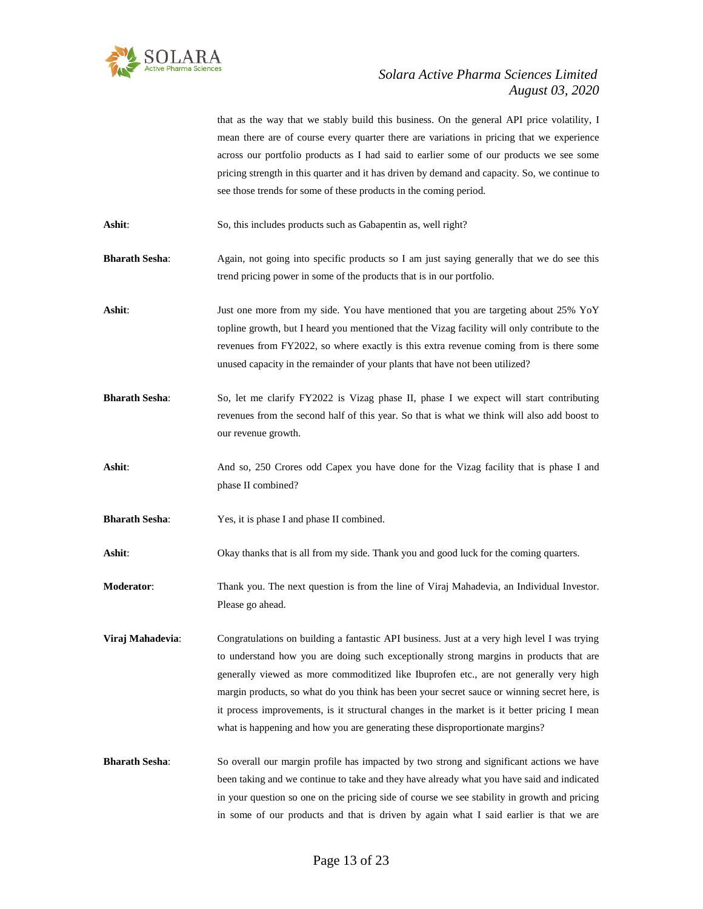

that as the way that we stably build this business. On the general API price volatility, I mean there are of course every quarter there are variations in pricing that we experience across our portfolio products as I had said to earlier some of our products we see some pricing strength in this quarter and it has driven by demand and capacity. So, we continue to see those trends for some of these products in the coming period. Ashit: So, this includes products such as Gabapentin as, well right? **Bharath Sesha**: Again, not going into specific products so I am just saying generally that we do see this trend pricing power in some of the products that is in our portfolio. Ashit: Just one more from my side. You have mentioned that you are targeting about 25% YoY topline growth, but I heard you mentioned that the Vizag facility will only contribute to the revenues from FY2022, so where exactly is this extra revenue coming from is there some unused capacity in the remainder of your plants that have not been utilized? **Bharath Sesha:** So, let me clarify FY2022 is Vizag phase II, phase I we expect will start contributing revenues from the second half of this year. So that is what we think will also add boost to our revenue growth. Ashit: And so, 250 Crores odd Capex you have done for the Vizag facility that is phase I and phase II combined? **Bharath Sesha:** Yes, it is phase I and phase II combined. Ashit: Okay thanks that is all from my side. Thank you and good luck for the coming quarters. **Moderator**: Thank you. The next question is from the line of Viraj Mahadevia, an Individual Investor. Please go ahead. **Viraj Mahadevia:** Congratulations on building a fantastic API business. Just at a very high level I was trying to understand how you are doing such exceptionally strong margins in products that are generally viewed as more commoditized like Ibuprofen etc., are not generally very high margin products, so what do you think has been your secret sauce or winning secret here, is it process improvements, is it structural changes in the market is it better pricing I mean what is happening and how you are generating these disproportionate margins? **Bharath Sesha**: So overall our margin profile has impacted by two strong and significant actions we have been taking and we continue to take and they have already what you have said and indicated in your question so one on the pricing side of course we see stability in growth and pricing in some of our products and that is driven by again what I said earlier is that we are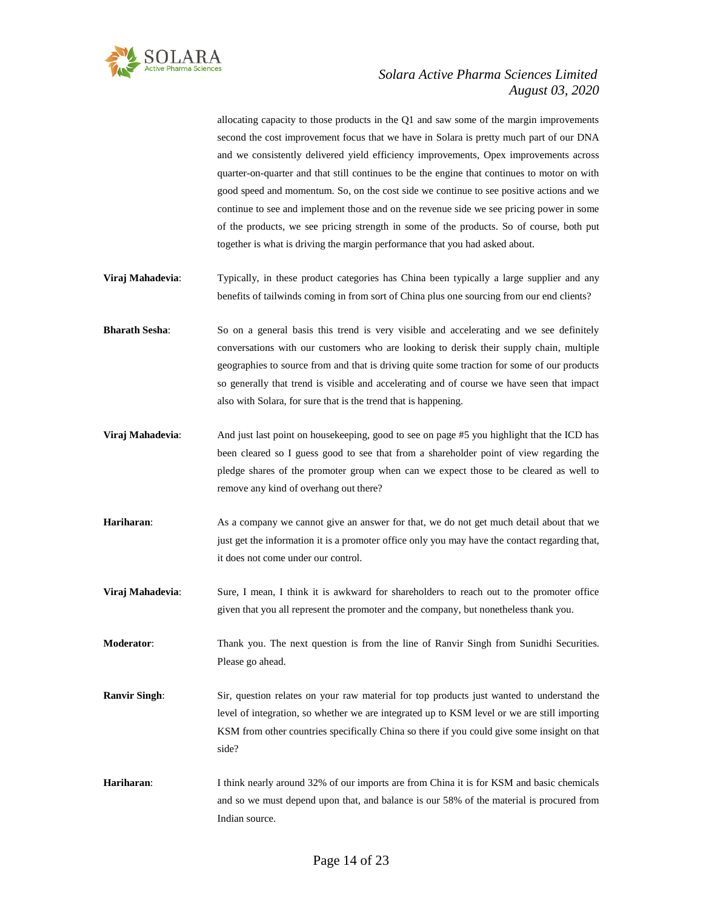

allocating capacity to those products in the Q1 and saw some of the margin improvements second the cost improvement focus that we have in Solara is pretty much part of our DNA and we consistently delivered yield efficiency improvements, Opex improvements across quarter-on-quarter and that still continues to be the engine that continues to motor on with good speed and momentum. So, on the cost side we continue to see positive actions and we continue to see and implement those and on the revenue side we see pricing power in some of the products, we see pricing strength in some of the products. So of course, both put together is what is driving the margin performance that you had asked about.

- **Viraj Mahadevia:** Typically, in these product categories has China been typically a large supplier and any benefits of tailwinds coming in from sort of China plus one sourcing from our end clients?
- **Bharath Sesha:** So on a general basis this trend is very visible and accelerating and we see definitely conversations with our customers who are looking to derisk their supply chain, multiple geographies to source from and that is driving quite some traction for some of our products so generally that trend is visible and accelerating and of course we have seen that impact also with Solara, for sure that is the trend that is happening.
- **Viraj Mahadevia:** And just last point on housekeeping, good to see on page #5 you highlight that the ICD has been cleared so I guess good to see that from a shareholder point of view regarding the pledge shares of the promoter group when can we expect those to be cleared as well to remove any kind of overhang out there?
- **Hariharan**: As a company we cannot give an answer for that, we do not get much detail about that we just get the information it is a promoter office only you may have the contact regarding that, it does not come under our control.
- **Viraj Mahadevia:** Sure, I mean, I think it is awkward for shareholders to reach out to the promoter office given that you all represent the promoter and the company, but nonetheless thank you.
- **Moderator**: Thank you. The next question is from the line of Ranvir Singh from Sunidhi Securities. Please go ahead.
- **Ranvir Singh:** Sir, question relates on your raw material for top products just wanted to understand the level of integration, so whether we are integrated up to KSM level or we are still importing KSM from other countries specifically China so there if you could give some insight on that side?
- **Hariharan**: I think nearly around 32% of our imports are from China it is for KSM and basic chemicals and so we must depend upon that, and balance is our 58% of the material is procured from Indian source.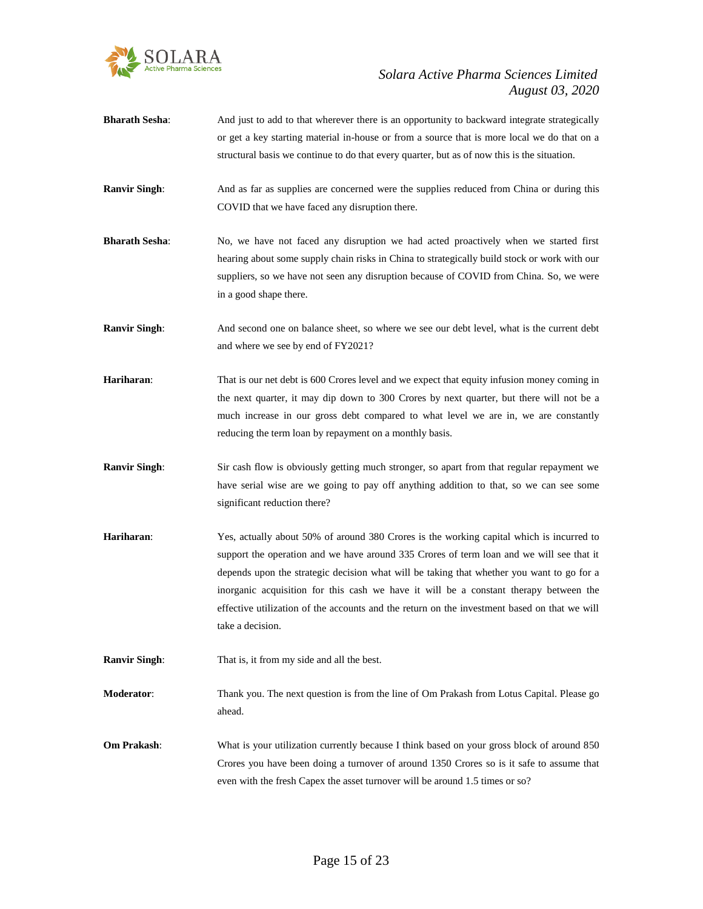

- **Bharath Sesha**: And just to add to that wherever there is an opportunity to backward integrate strategically or get a key starting material in-house or from a source that is more local we do that on a structural basis we continue to do that every quarter, but as of now this is the situation.
- **Ranvir Singh:** And as far as supplies are concerned were the supplies reduced from China or during this COVID that we have faced any disruption there.
- **Bharath Sesha**: No, we have not faced any disruption we had acted proactively when we started first hearing about some supply chain risks in China to strategically build stock or work with our suppliers, so we have not seen any disruption because of COVID from China. So, we were in a good shape there.
- **Ranvir Singh:** And second one on balance sheet, so where we see our debt level, what is the current debt and where we see by end of FY2021?
- **Hariharan**: That is our net debt is 600 Crores level and we expect that equity infusion money coming in the next quarter, it may dip down to 300 Crores by next quarter, but there will not be a much increase in our gross debt compared to what level we are in, we are constantly reducing the term loan by repayment on a monthly basis.
- **Ranvir Singh**: Sir cash flow is obviously getting much stronger, so apart from that regular repayment we have serial wise are we going to pay off anything addition to that, so we can see some significant reduction there?
- **Hariharan**: Yes, actually about 50% of around 380 Crores is the working capital which is incurred to support the operation and we have around 335 Crores of term loan and we will see that it depends upon the strategic decision what will be taking that whether you want to go for a inorganic acquisition for this cash we have it will be a constant therapy between the effective utilization of the accounts and the return on the investment based on that we will take a decision.
- **Ranvir Singh:** That is, it from my side and all the best.
- **Moderator**: Thank you. The next question is from the line of Om Prakash from Lotus Capital. Please go ahead.
- **Om Prakash:** What is your utilization currently because I think based on your gross block of around 850 Crores you have been doing a turnover of around 1350 Crores so is it safe to assume that even with the fresh Capex the asset turnover will be around 1.5 times or so?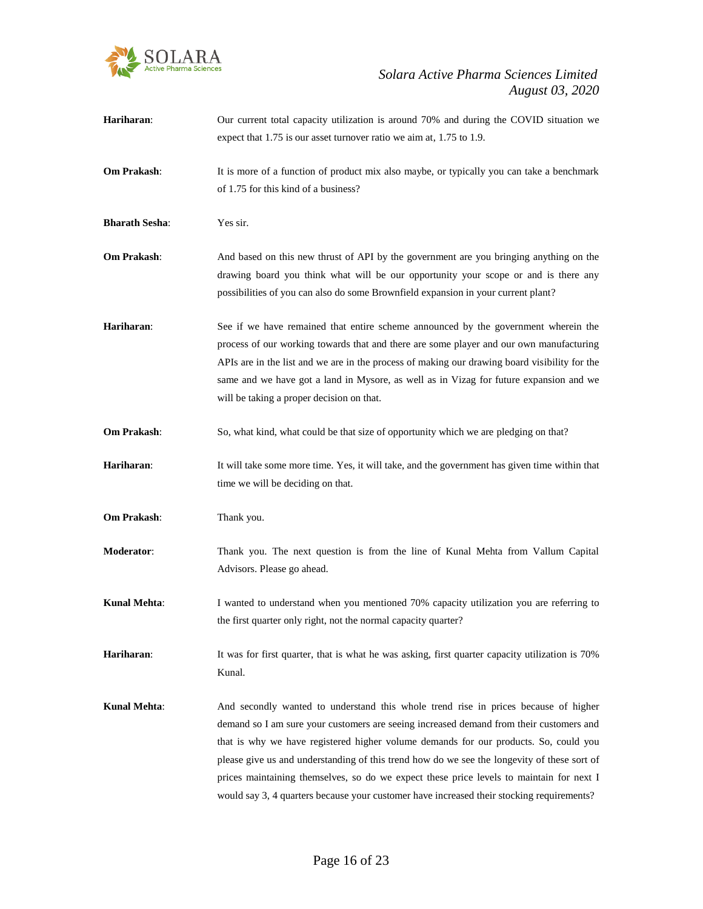

| Hariharan:            | Our current total capacity utilization is around 70% and during the COVID situation we<br>expect that 1.75 is our asset turnover ratio we aim at, 1.75 to 1.9.                                                                                                                                                                                                                                                                                                                                                                                                 |
|-----------------------|----------------------------------------------------------------------------------------------------------------------------------------------------------------------------------------------------------------------------------------------------------------------------------------------------------------------------------------------------------------------------------------------------------------------------------------------------------------------------------------------------------------------------------------------------------------|
| Om Prakash:           | It is more of a function of product mix also maybe, or typically you can take a benchmark<br>of 1.75 for this kind of a business?                                                                                                                                                                                                                                                                                                                                                                                                                              |
| <b>Bharath Sesha:</b> | Yes sir.                                                                                                                                                                                                                                                                                                                                                                                                                                                                                                                                                       |
| <b>Om Prakash:</b>    | And based on this new thrust of API by the government are you bringing anything on the<br>drawing board you think what will be our opportunity your scope or and is there any<br>possibilities of you can also do some Brownfield expansion in your current plant?                                                                                                                                                                                                                                                                                             |
| Hariharan:            | See if we have remained that entire scheme announced by the government wherein the<br>process of our working towards that and there are some player and our own manufacturing<br>APIs are in the list and we are in the process of making our drawing board visibility for the<br>same and we have got a land in Mysore, as well as in Vizag for future expansion and we<br>will be taking a proper decision on that.                                                                                                                                          |
| Om Prakash:           | So, what kind, what could be that size of opportunity which we are pledging on that?                                                                                                                                                                                                                                                                                                                                                                                                                                                                           |
| Hariharan:            | It will take some more time. Yes, it will take, and the government has given time within that<br>time we will be deciding on that.                                                                                                                                                                                                                                                                                                                                                                                                                             |
| Om Prakash:           | Thank you.                                                                                                                                                                                                                                                                                                                                                                                                                                                                                                                                                     |
| Moderator:            | Thank you. The next question is from the line of Kunal Mehta from Vallum Capital<br>Advisors. Please go ahead.                                                                                                                                                                                                                                                                                                                                                                                                                                                 |
| Kunal Mehta:          | I wanted to understand when you mentioned 70% capacity utilization you are referring to<br>the first quarter only right, not the normal capacity quarter?                                                                                                                                                                                                                                                                                                                                                                                                      |
| Hariharan:            | It was for first quarter, that is what he was asking, first quarter capacity utilization is 70%<br>Kunal.                                                                                                                                                                                                                                                                                                                                                                                                                                                      |
| <b>Kunal Mehta:</b>   | And secondly wanted to understand this whole trend rise in prices because of higher<br>demand so I am sure your customers are seeing increased demand from their customers and<br>that is why we have registered higher volume demands for our products. So, could you<br>please give us and understanding of this trend how do we see the longevity of these sort of<br>prices maintaining themselves, so do we expect these price levels to maintain for next I<br>would say 3, 4 quarters because your customer have increased their stocking requirements? |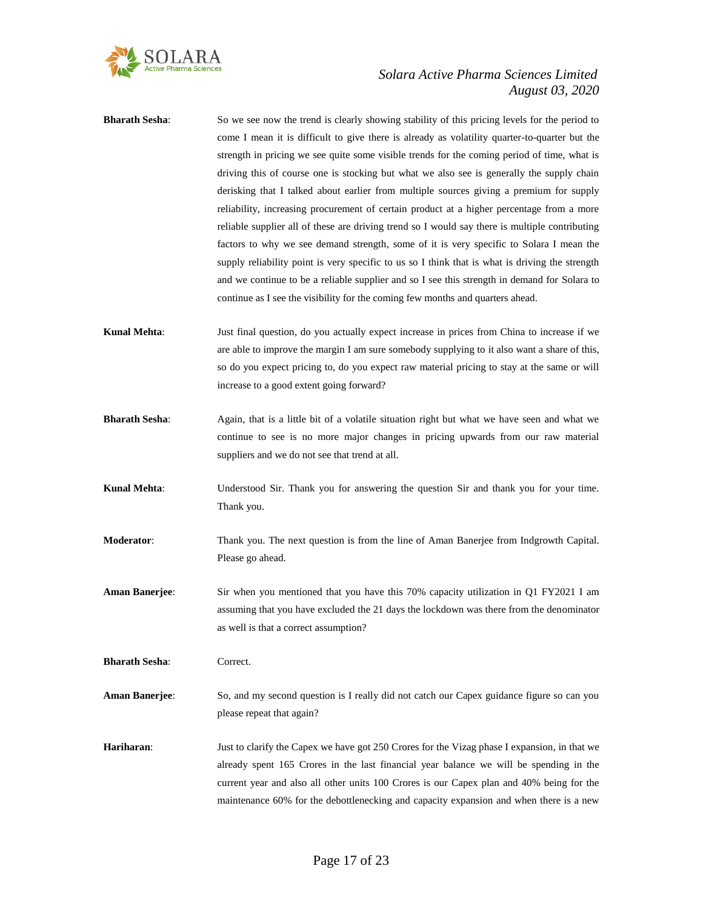

- **Bharath Sesha**: So we see now the trend is clearly showing stability of this pricing levels for the period to come I mean it is difficult to give there is already as volatility quarter-to-quarter but the strength in pricing we see quite some visible trends for the coming period of time, what is driving this of course one is stocking but what we also see is generally the supply chain derisking that I talked about earlier from multiple sources giving a premium for supply reliability, increasing procurement of certain product at a higher percentage from a more reliable supplier all of these are driving trend so I would say there is multiple contributing factors to why we see demand strength, some of it is very specific to Solara I mean the supply reliability point is very specific to us so I think that is what is driving the strength and we continue to be a reliable supplier and so I see this strength in demand for Solara to continue as I see the visibility for the coming few months and quarters ahead. **Kunal Mehta**: Just final question, do you actually expect increase in prices from China to increase if we are able to improve the margin I am sure somebody supplying to it also want a share of this, so do you expect pricing to, do you expect raw material pricing to stay at the same or will increase to a good extent going forward? **Bharath Sesha:** Again, that is a little bit of a volatile situation right but what we have seen and what we continue to see is no more major changes in pricing upwards from our raw material suppliers and we do not see that trend at all. **Kunal Mehta**: Understood Sir. Thank you for answering the question Sir and thank you for your time. Thank you.
- **Moderator**: Thank you. The next question is from the line of Aman Banerjee from Indgrowth Capital. Please go ahead.
- **Aman Banerjee**: Sir when you mentioned that you have this 70% capacity utilization in Q1 FY2021 I am assuming that you have excluded the 21 days the lockdown was there from the denominator as well is that a correct assumption?

**Bharath Sesha**: Correct.

- **Aman Banerjee**: So, and my second question is I really did not catch our Capex guidance figure so can you please repeat that again?
- **Hariharan**: Just to clarify the Capex we have got 250 Crores for the Vizag phase I expansion, in that we already spent 165 Crores in the last financial year balance we will be spending in the current year and also all other units 100 Crores is our Capex plan and 40% being for the maintenance 60% for the debottlenecking and capacity expansion and when there is a new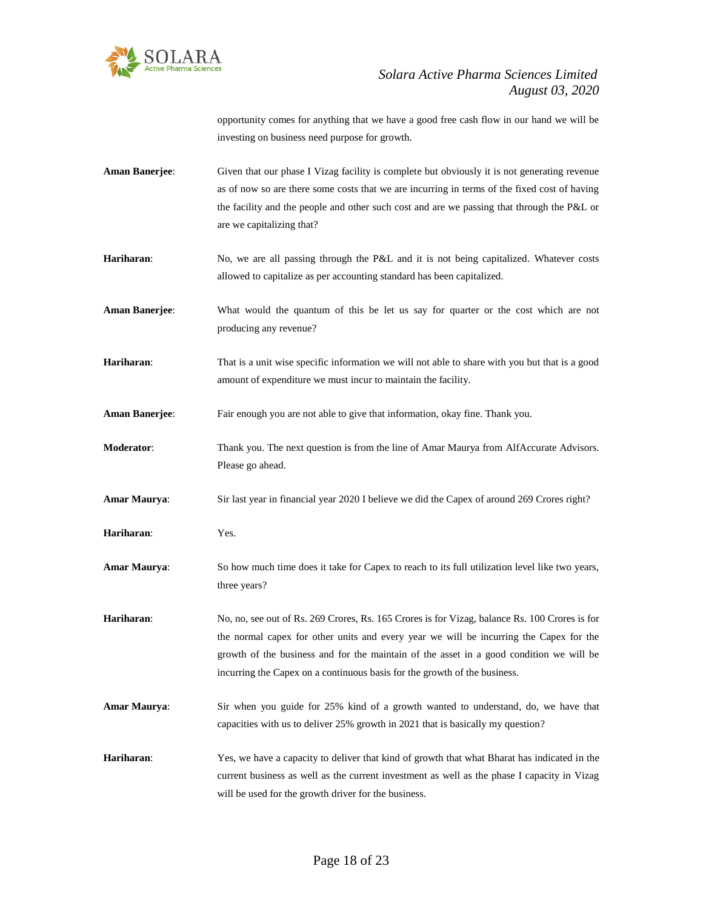

opportunity comes for anything that we have a good free cash flow in our hand we will be investing on business need purpose for growth.

- **Aman Banerjee:** Given that our phase I Vizag facility is complete but obviously it is not generating revenue as of now so are there some costs that we are incurring in terms of the fixed cost of having the facility and the people and other such cost and are we passing that through the P&L or are we capitalizing that?
- Hariharan: No, we are all passing through the P&L and it is not being capitalized. Whatever costs allowed to capitalize as per accounting standard has been capitalized.
- **Aman Banerjee**: What would the quantum of this be let us say for quarter or the cost which are not producing any revenue?
- **Hariharan:** That is a unit wise specific information we will not able to share with you but that is a good amount of expenditure we must incur to maintain the facility.
- **Aman Banerjee**: Fair enough you are not able to give that information, okay fine. Thank you.
- **Moderator**: Thank you. The next question is from the line of Amar Maurya from AlfAccurate Advisors. Please go ahead.
- **Amar Maurya**: Sir last year in financial year 2020 I believe we did the Capex of around 269 Crores right?
- **Hariharan**: Yes.
- **Amar Maurya**: So how much time does it take for Capex to reach to its full utilization level like two years, three years?
- **Hariharan**: No, no, see out of Rs. 269 Crores, Rs. 165 Crores is for Vizag, balance Rs. 100 Crores is for the normal capex for other units and every year we will be incurring the Capex for the growth of the business and for the maintain of the asset in a good condition we will be incurring the Capex on a continuous basis for the growth of the business.
- **Amar Maurya**: Sir when you guide for 25% kind of a growth wanted to understand, do, we have that capacities with us to deliver 25% growth in 2021 that is basically my question?
- **Hariharan**: Yes, we have a capacity to deliver that kind of growth that what Bharat has indicated in the current business as well as the current investment as well as the phase I capacity in Vizag will be used for the growth driver for the business.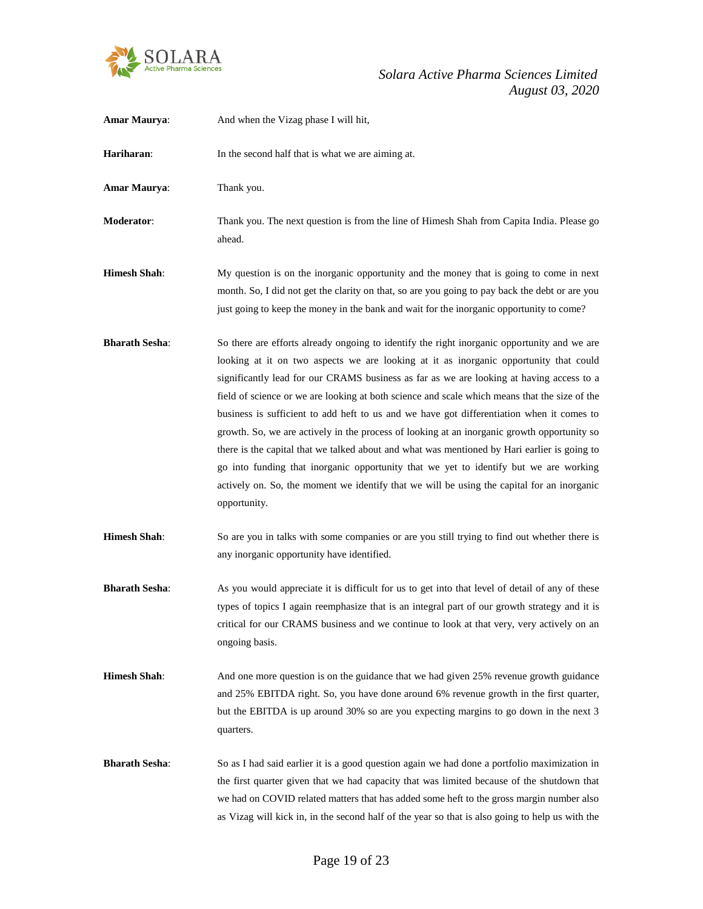

| Amar Maurya:          | And when the Vizag phase I will hit,                                                                                                                                                                                                                                                                                                                                                                                                                                                                                                                                                                                                                                                                                                                                                                                                                                                 |
|-----------------------|--------------------------------------------------------------------------------------------------------------------------------------------------------------------------------------------------------------------------------------------------------------------------------------------------------------------------------------------------------------------------------------------------------------------------------------------------------------------------------------------------------------------------------------------------------------------------------------------------------------------------------------------------------------------------------------------------------------------------------------------------------------------------------------------------------------------------------------------------------------------------------------|
| Hariharan:            | In the second half that is what we are aiming at.                                                                                                                                                                                                                                                                                                                                                                                                                                                                                                                                                                                                                                                                                                                                                                                                                                    |
| <b>Amar Maurya:</b>   | Thank you.                                                                                                                                                                                                                                                                                                                                                                                                                                                                                                                                                                                                                                                                                                                                                                                                                                                                           |
| Moderator:            | Thank you. The next question is from the line of Himesh Shah from Capita India. Please go<br>ahead.                                                                                                                                                                                                                                                                                                                                                                                                                                                                                                                                                                                                                                                                                                                                                                                  |
| <b>Himesh Shah:</b>   | My question is on the inorganic opportunity and the money that is going to come in next<br>month. So, I did not get the clarity on that, so are you going to pay back the debt or are you<br>just going to keep the money in the bank and wait for the inorganic opportunity to come?                                                                                                                                                                                                                                                                                                                                                                                                                                                                                                                                                                                                |
| <b>Bharath Sesha:</b> | So there are efforts already ongoing to identify the right inorganic opportunity and we are<br>looking at it on two aspects we are looking at it as inorganic opportunity that could<br>significantly lead for our CRAMS business as far as we are looking at having access to a<br>field of science or we are looking at both science and scale which means that the size of the<br>business is sufficient to add heft to us and we have got differentiation when it comes to<br>growth. So, we are actively in the process of looking at an inorganic growth opportunity so<br>there is the capital that we talked about and what was mentioned by Hari earlier is going to<br>go into funding that inorganic opportunity that we yet to identify but we are working<br>actively on. So, the moment we identify that we will be using the capital for an inorganic<br>opportunity. |
| <b>Himesh Shah:</b>   | So are you in talks with some companies or are you still trying to find out whether there is<br>any inorganic opportunity have identified.                                                                                                                                                                                                                                                                                                                                                                                                                                                                                                                                                                                                                                                                                                                                           |
| <b>Bharath Sesha:</b> | As you would appreciate it is difficult for us to get into that level of detail of any of these<br>types of topics I again reemphasize that is an integral part of our growth strategy and it is<br>critical for our CRAMS business and we continue to look at that very, very actively on an<br>ongoing basis.                                                                                                                                                                                                                                                                                                                                                                                                                                                                                                                                                                      |
| <b>Himesh Shah:</b>   | And one more question is on the guidance that we had given 25% revenue growth guidance<br>and 25% EBITDA right. So, you have done around 6% revenue growth in the first quarter,<br>but the EBITDA is up around 30% so are you expecting margins to go down in the next 3<br>quarters.                                                                                                                                                                                                                                                                                                                                                                                                                                                                                                                                                                                               |
| <b>Bharath Sesha:</b> | So as I had said earlier it is a good question again we had done a portfolio maximization in<br>the first quarter given that we had capacity that was limited because of the shutdown that<br>we had on COVID related matters that has added some heft to the gross margin number also<br>as Vizag will kick in, in the second half of the year so that is also going to help us with the                                                                                                                                                                                                                                                                                                                                                                                                                                                                                            |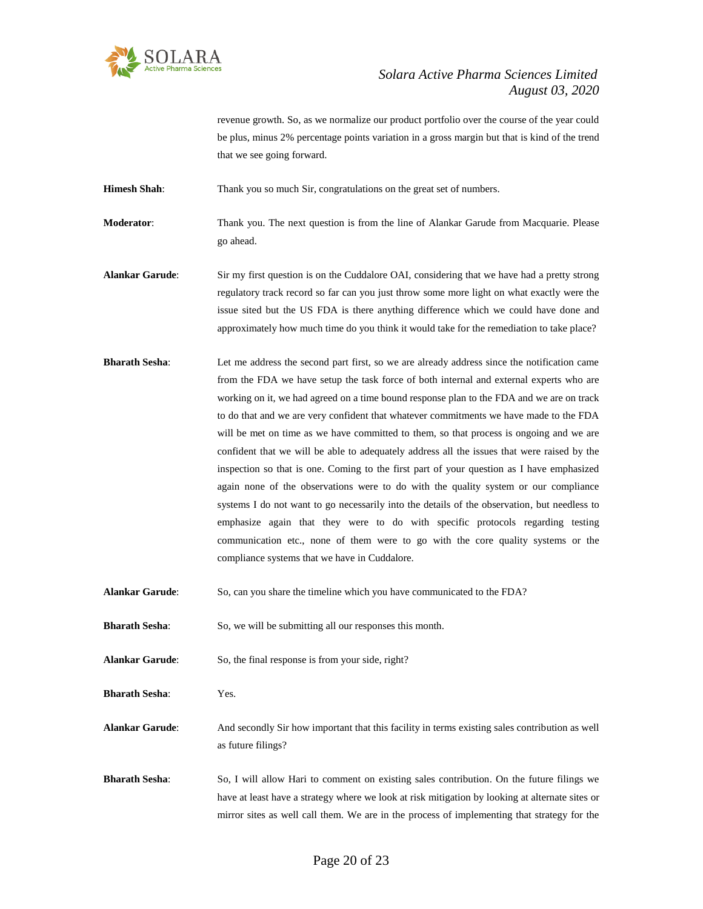

revenue growth. So, as we normalize our product portfolio over the course of the year could be plus, minus 2% percentage points variation in a gross margin but that is kind of the trend that we see going forward.

**Himesh Shah**: Thank you so much Sir, congratulations on the great set of numbers.

**Moderator**: Thank you. The next question is from the line of Alankar Garude from Macquarie. Please go ahead.

- **Alankar Garude**: Sir my first question is on the Cuddalore OAI, considering that we have had a pretty strong regulatory track record so far can you just throw some more light on what exactly were the issue sited but the US FDA is there anything difference which we could have done and approximately how much time do you think it would take for the remediation to take place?
- **Bharath Sesha:** Let me address the second part first, so we are already address since the notification came from the FDA we have setup the task force of both internal and external experts who are working on it, we had agreed on a time bound response plan to the FDA and we are on track to do that and we are very confident that whatever commitments we have made to the FDA will be met on time as we have committed to them, so that process is ongoing and we are confident that we will be able to adequately address all the issues that were raised by the inspection so that is one. Coming to the first part of your question as I have emphasized again none of the observations were to do with the quality system or our compliance systems I do not want to go necessarily into the details of the observation, but needless to emphasize again that they were to do with specific protocols regarding testing communication etc., none of them were to go with the core quality systems or the compliance systems that we have in Cuddalore.
- **Alankar Garude**: So, can you share the timeline which you have communicated to the FDA?
- **Bharath Sesha:** So, we will be submitting all our responses this month.
- **Alankar Garude:** So, the final response is from your side, right?
- **Bharath Sesha**: Yes.

**Alankar Garude**: And secondly Sir how important that this facility in terms existing sales contribution as well as future filings?

**Bharath Sesha:** So, I will allow Hari to comment on existing sales contribution. On the future filings we have at least have a strategy where we look at risk mitigation by looking at alternate sites or mirror sites as well call them. We are in the process of implementing that strategy for the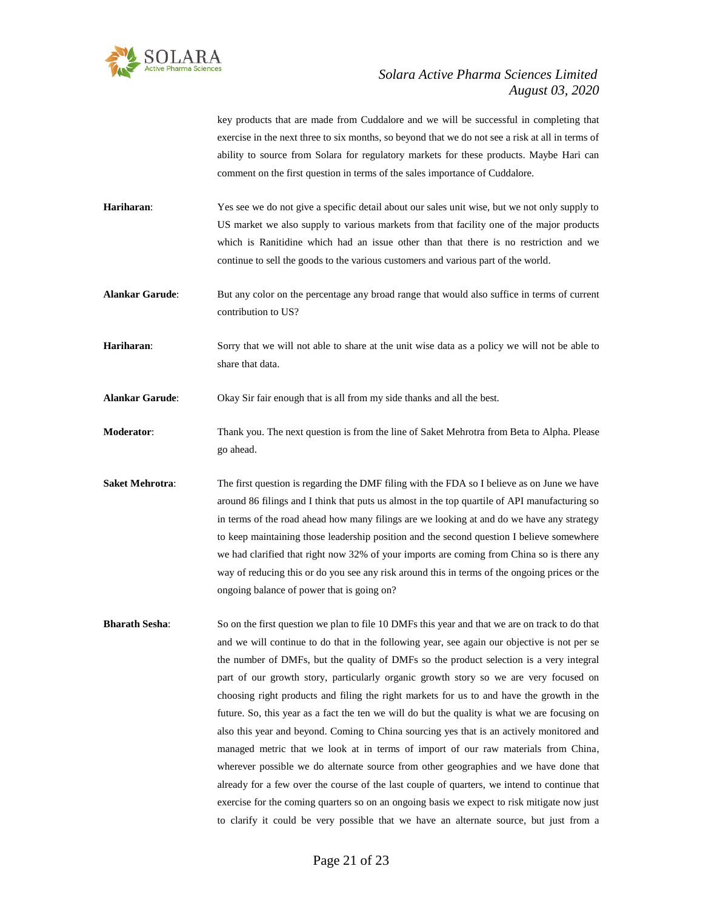

key products that are made from Cuddalore and we will be successful in completing that exercise in the next three to six months, so beyond that we do not see a risk at all in terms of ability to source from Solara for regulatory markets for these products. Maybe Hari can comment on the first question in terms of the sales importance of Cuddalore.

**Hariharan**: Yes see we do not give a specific detail about our sales unit wise, but we not only supply to US market we also supply to various markets from that facility one of the major products which is Ranitidine which had an issue other than that there is no restriction and we continue to sell the goods to the various customers and various part of the world.

**Alankar Garude**: But any color on the percentage any broad range that would also suffice in terms of current contribution to US?

**Hariharan**: Sorry that we will not able to share at the unit wise data as a policy we will not be able to share that data.

**Alankar Garude**: Okay Sir fair enough that is all from my side thanks and all the best.

**Moderator**: Thank you. The next question is from the line of Saket Mehrotra from Beta to Alpha. Please go ahead.

**Saket Mehrotra:** The first question is regarding the DMF filing with the FDA so I believe as on June we have around 86 filings and I think that puts us almost in the top quartile of API manufacturing so in terms of the road ahead how many filings are we looking at and do we have any strategy to keep maintaining those leadership position and the second question I believe somewhere we had clarified that right now 32% of your imports are coming from China so is there any way of reducing this or do you see any risk around this in terms of the ongoing prices or the ongoing balance of power that is going on?

**Bharath Sesha**: So on the first question we plan to file 10 DMFs this year and that we are on track to do that and we will continue to do that in the following year, see again our objective is not per se the number of DMFs, but the quality of DMFs so the product selection is a very integral part of our growth story, particularly organic growth story so we are very focused on choosing right products and filing the right markets for us to and have the growth in the future. So, this year as a fact the ten we will do but the quality is what we are focusing on also this year and beyond. Coming to China sourcing yes that is an actively monitored and managed metric that we look at in terms of import of our raw materials from China, wherever possible we do alternate source from other geographies and we have done that already for a few over the course of the last couple of quarters, we intend to continue that exercise for the coming quarters so on an ongoing basis we expect to risk mitigate now just to clarify it could be very possible that we have an alternate source, but just from a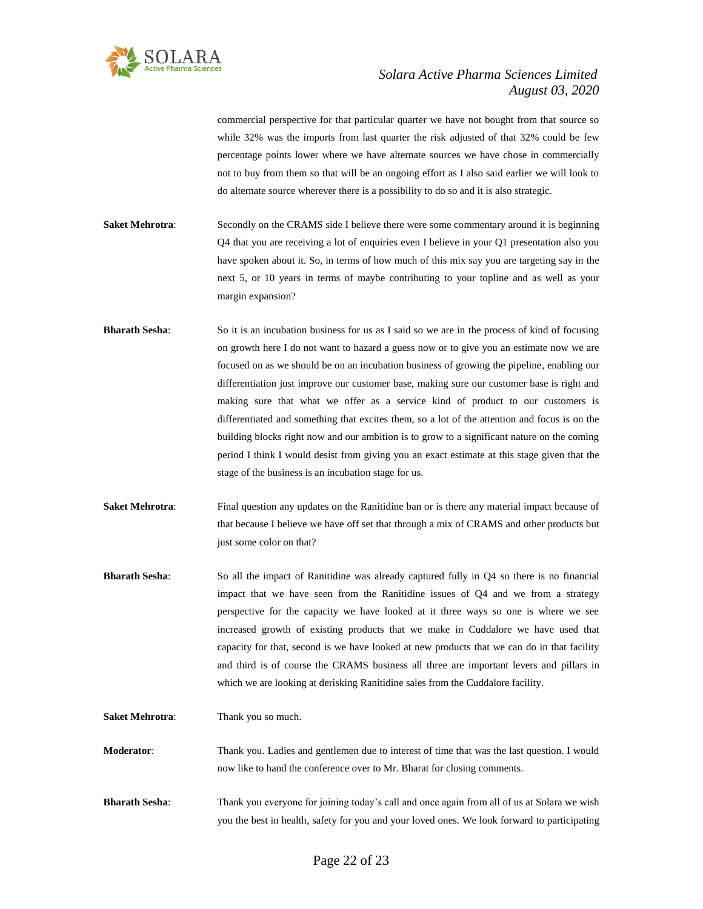

commercial perspective for that particular quarter we have not bought from that source so while 32% was the imports from last quarter the risk adjusted of that 32% could be few percentage points lower where we have alternate sources we have chose in commercially not to buy from them so that will be an ongoing effort as I also said earlier we will look to do alternate source wherever there is a possibility to do so and it is also strategic.

**Saket Mehrotra:** Secondly on the CRAMS side I believe there were some commentary around it is beginning Q4 that you are receiving a lot of enquiries even I believe in your Q1 presentation also you have spoken about it. So, in terms of how much of this mix say you are targeting say in the next 5, or 10 years in terms of maybe contributing to your topline and as well as your margin expansion?

- **Bharath Sesha:** So it is an incubation business for us as I said so we are in the process of kind of focusing on growth here I do not want to hazard a guess now or to give you an estimate now we are focused on as we should be on an incubation business of growing the pipeline, enabling our differentiation just improve our customer base, making sure our customer base is right and making sure that what we offer as a service kind of product to our customers is differentiated and something that excites them, so a lot of the attention and focus is on the building blocks right now and our ambition is to grow to a significant nature on the coming period I think I would desist from giving you an exact estimate at this stage given that the stage of the business is an incubation stage for us.
- **Saket Mehrotra:** Final question any updates on the Ranitidine ban or is there any material impact because of that because I believe we have off set that through a mix of CRAMS and other products but just some color on that?
- **Bharath Sesha**: So all the impact of Ranitidine was already captured fully in Q4 so there is no financial impact that we have seen from the Ranitidine issues of Q4 and we from a strategy perspective for the capacity we have looked at it three ways so one is where we see increased growth of existing products that we make in Cuddalore we have used that capacity for that, second is we have looked at new products that we can do in that facility and third is of course the CRAMS business all three are important levers and pillars in which we are looking at derisking Ranitidine sales from the Cuddalore facility.
- **Saket Mehrotra:** Thank you so much.

**Moderator**: Thank you. Ladies and gentlemen due to interest of time that was the last question. I would now like to hand the conference over to Mr. Bharat for closing comments.

**Bharath Sesha**: Thank you everyone for joining today's call and once again from all of us at Solara we wish you the best in health, safety for you and your loved ones. We look forward to participating